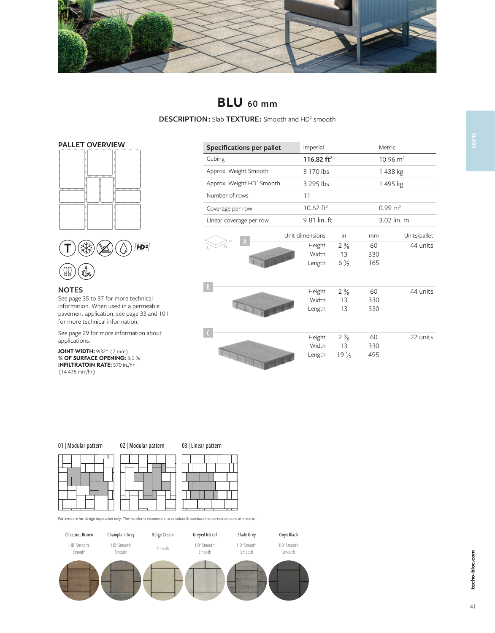

# **BLU 60 mm**

**DESCRIPTION :** Slab **TEXTURE :** Smooth and HD2 smooth





## **NOTES**

See page 35 to 37 for more technical information. When used in a permeable pavement application, see page 33 and 101 for more technical information.

See page 29 for more information about applications.

**JOINT WIDTH:** 9/32" (7 mm) **% OF SURFACE OPENING:** 3.0 % **INFILTRATOIN RATE:** 570 in./hr (14 475 mm/hr)

| <b>Specifications per pallet</b>      | Imperial                  |                                         |                  | Metric              |  |  |
|---------------------------------------|---------------------------|-----------------------------------------|------------------|---------------------|--|--|
| Cubing                                | 116.82 $ft2$              |                                         |                  | $10.96 \text{ m}^2$ |  |  |
| Approx. Weight Smooth                 | 3 170 lbs                 |                                         |                  | 1438 kg             |  |  |
| Approx. Weight HD <sup>2</sup> Smooth | 3 295 lbs                 |                                         |                  | 1495 kg             |  |  |
| Number of rows                        | 11                        |                                         |                  |                     |  |  |
| Coverage per row                      | 10.62 $ft^2$              |                                         |                  | $0.99 \text{ m}^2$  |  |  |
| Linear coverage per row               | 9.81 lin. ft              |                                         |                  | 3.02 lin. m         |  |  |
|                                       | Unit dimensions           | in                                      | mm               | Units/pallet        |  |  |
| H<br>W<br><b>TELEVISION</b>           | Height<br>Width<br>Length | $2\frac{3}{8}$<br>13<br>$6\frac{1}{2}$  | 60<br>330<br>165 | 44 units            |  |  |
| $\overline{B}$                        | Height<br>Width<br>Length | $2\frac{3}{8}$<br>13<br>13              | 60<br>330<br>330 | 44 units            |  |  |
| <b>CONTRACTOR</b>                     | Height<br>Width<br>Length | $2\frac{3}{8}$<br>13<br>$19\frac{1}{2}$ | 60<br>330<br>495 | 22 units            |  |  |





Patterns are for design inspiration only. The installer is responsible to calculate & purchase the correct amount of material.